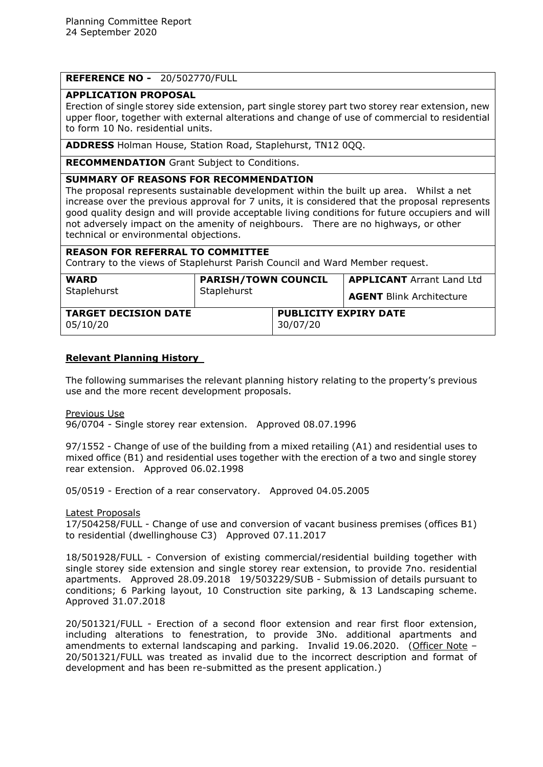# **REFERENCE NO -** 20/502770/FULL

## **APPLICATION PROPOSAL**

Erection of single storey side extension, part single storey part two storey rear extension, new upper floor, together with external alterations and change of use of commercial to residential to form 10 No. residential units.

**ADDRESS** Holman House, Station Road, Staplehurst, TN12 0QQ.

**RECOMMENDATION** Grant Subject to Conditions.

## **SUMMARY OF REASONS FOR RECOMMENDATION**

The proposal represents sustainable development within the built up area. Whilst a net increase over the previous approval for 7 units, it is considered that the proposal represents good quality design and will provide acceptable living conditions for future occupiers and will not adversely impact on the amenity of neighbours. There are no highways, or other technical or environmental objections.

# **REASON FOR REFERRAL TO COMMITTEE**

Contrary to the views of Staplehurst Parish Council and Ward Member request.

| <b>WARD</b>                             | <b>PARISH/TOWN COUNCIL</b> |                                          | <b>APPLICANT</b> Arrant Land Ltd |
|-----------------------------------------|----------------------------|------------------------------------------|----------------------------------|
| Staplehurst                             | Staplehurst                |                                          | <b>AGENT Blink Architecture</b>  |
| <b>TARGET DECISION DATE</b><br>05/10/20 |                            | <b>PUBLICITY EXPIRY DATE</b><br>30/07/20 |                                  |

# **Relevant Planning History**

The following summarises the relevant planning history relating to the property's previous use and the more recent development proposals.

Previous Use 96/0704 - Single storey rear extension. Approved 08.07.1996

97/1552 - Change of use of the building from a mixed retailing (A1) and residential uses to mixed office (B1) and residential uses together with the erection of a two and single storey rear extension. Approved 06.02.1998

05/0519 - Erection of a rear conservatory. Approved 04.05.2005

Latest Proposals

17/504258/FULL - Change of use and conversion of vacant business premises (offices B1) to residential (dwellinghouse C3) Approved 07.11.2017

18/501928/FULL - Conversion of existing commercial/residential building together with single storey side extension and single storey rear extension, to provide 7no. residential apartments. Approved 28.09.2018 19/503229/SUB - Submission of details pursuant to conditions; 6 Parking layout, 10 Construction site parking, & 13 Landscaping scheme. Approved 31.07.2018

20/501321/FULL - Erection of a second floor extension and rear first floor extension, including alterations to fenestration, to provide 3No. additional apartments and amendments to external landscaping and parking. Invalid 19.06.2020. (Officer Note – 20/501321/FULL was treated as invalid due to the incorrect description and format of development and has been re-submitted as the present application.)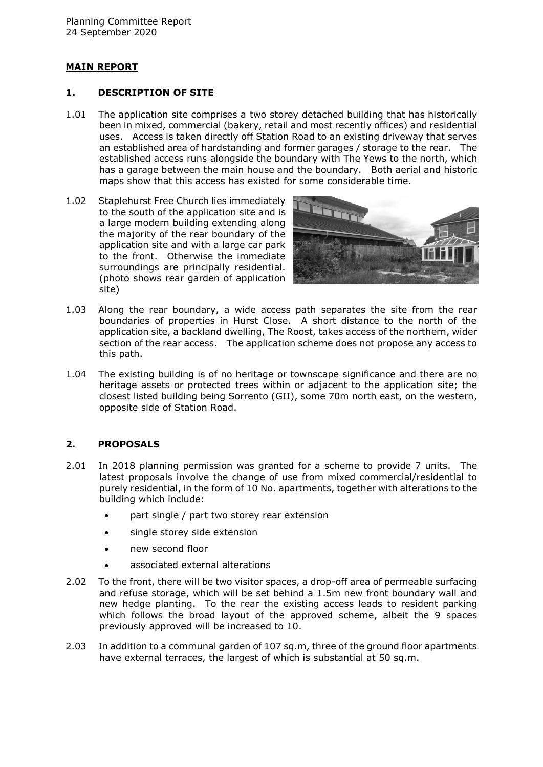# **MAIN REPORT**

### **1. DESCRIPTION OF SITE**

- 1.01 The application site comprises a two storey detached building that has historically been in mixed, commercial (bakery, retail and most recently offices) and residential uses. Access is taken directly off Station Road to an existing driveway that serves an established area of hardstanding and former garages / storage to the rear. The established access runs alongside the boundary with The Yews to the north, which has a garage between the main house and the boundary. Both aerial and historic maps show that this access has existed for some considerable time.
- 1.02 Staplehurst Free Church lies immediately to the south of the application site and is a large modern building extending along the majority of the rear boundary of the application site and with a large car park to the front. Otherwise the immediate surroundings are principally residential. (photo shows rear garden of application site)



- 1.03 Along the rear boundary, a wide access path separates the site from the rear boundaries of properties in Hurst Close. A short distance to the north of the application site, a backland dwelling, The Roost, takes access of the northern, wider section of the rear access. The application scheme does not propose any access to this path.
- 1.04 The existing building is of no heritage or townscape significance and there are no heritage assets or protected trees within or adjacent to the application site; the closest listed building being Sorrento (GII), some 70m north east, on the western, opposite side of Station Road.

# **2. PROPOSALS**

- 2.01 In 2018 planning permission was granted for a scheme to provide 7 units. The latest proposals involve the change of use from mixed commercial/residential to purely residential, in the form of 10 No. apartments, together with alterations to the building which include:
	- part single / part two storey rear extension
	- single storey side extension
	- new second floor
	- associated external alterations
- 2.02 To the front, there will be two visitor spaces, a drop-off area of permeable surfacing and refuse storage, which will be set behind a 1.5m new front boundary wall and new hedge planting. To the rear the existing access leads to resident parking which follows the broad layout of the approved scheme, albeit the 9 spaces previously approved will be increased to 10.
- 2.03 In addition to a communal garden of 107 sq.m, three of the ground floor apartments have external terraces, the largest of which is substantial at 50 sq.m.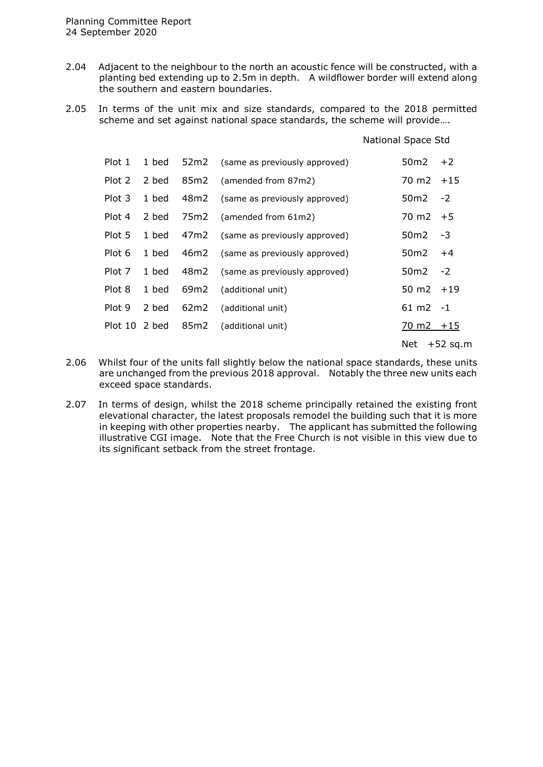- 2.04 Adjacent to the neighbour to the north an acoustic fence will be constructed, with a planting bed extending up to 2.5m in depth. A wildflower border will extend along the southern and eastern boundaries.
- 2.05 In terms of the unit mix and size standards, compared to the 2018 permitted scheme and set against national space standards, the scheme will provide….

|               |       |      |                                    | National Space Std              |
|---------------|-------|------|------------------------------------|---------------------------------|
| Plot 1        | 1 bed |      | 52m2 (same as previously approved) | 50 <sub>m2</sub><br>$+2$        |
| Plot 2        | 2 bed | 85m2 | (amended from 87m2)                | $70 \text{ m2 } +15$            |
| Plot 3        | 1 bed |      | 48m2 (same as previously approved) | 50m2<br>$-2$                    |
| Plot 4        | 2 bed |      | 75m2 (amended from 61m2)           | $70 \text{ m2 } +5$             |
| Plot 5        | 1 bed |      | 47m2 (same as previously approved) | 50m2<br>-3                      |
| Plot 6        | 1 bed | 46m2 | (same as previously approved)      | 50m2<br>$+4$                    |
| Plot 7        | 1 bed |      | 48m2 (same as previously approved) | $-2$<br>50 <sub>m2</sub>        |
| Plot 8        | 1 bed | 69m2 | (additional unit)                  | 50 m2 $+19$                     |
| Plot 9        | 2 bed | 62m2 | (additional unit)                  | $61 \text{ m2 } -1$             |
| Plot 10 2 bed |       | 85m2 | (additional unit)                  | $\frac{70 \text{ m2}}{11}$ + 15 |
|               |       |      |                                    | Net<br>$+52$ sq.m               |

- 2.06 Whilst four of the units fall slightly below the national space standards, these units are unchanged from the previous 2018 approval. Notably the three new units each exceed space standards.
- 2.07 In terms of design, whilst the 2018 scheme principally retained the existing front elevational character, the latest proposals remodel the building such that it is more in keeping with other properties nearby. The applicant has submitted the following illustrative CGI image. Note that the Free Church is not visible in this view due to its significant setback from the street frontage.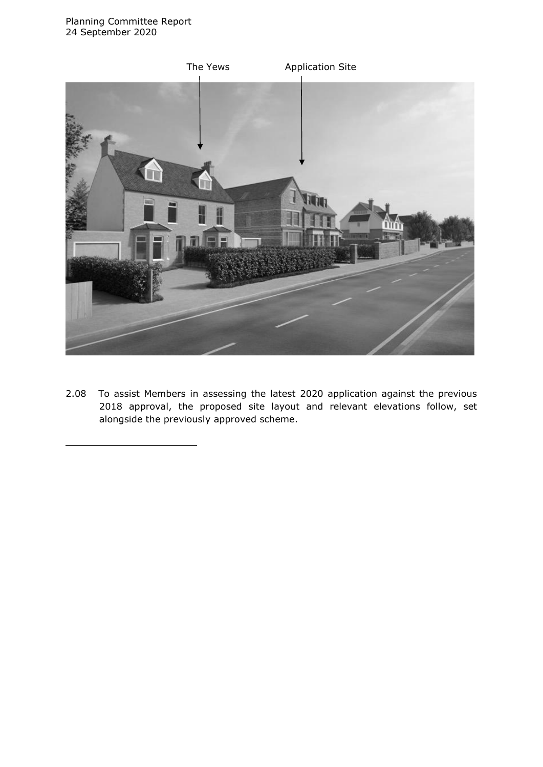

2.08 To assist Members in assessing the latest 2020 application against the previous 2018 approval, the proposed site layout and relevant elevations follow, set alongside the previously approved scheme.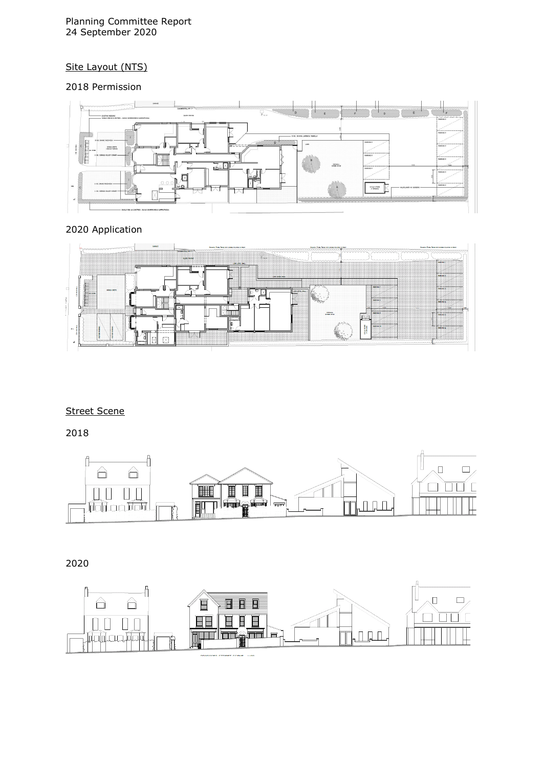### Planning Committee Report 24 September 2020

# Site Layout (NTS)

# 2018 Permission



# 2020 Application



# Street Scene

2018



# 2020

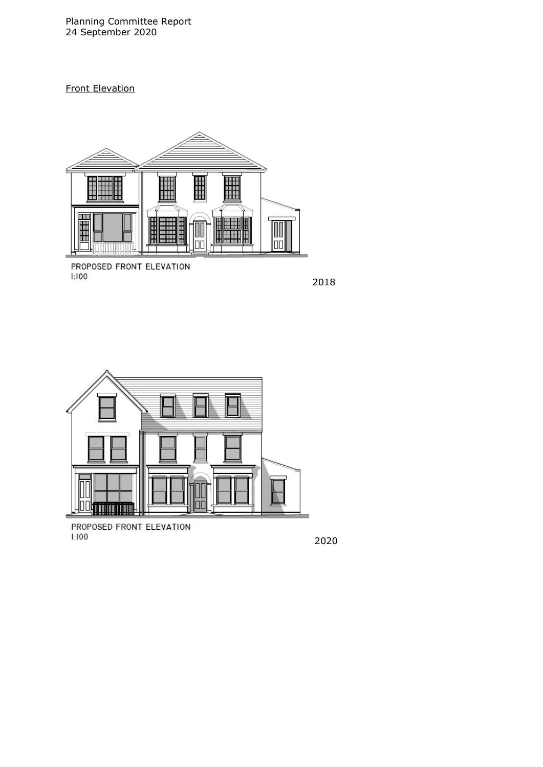Planning Committee Report 24 September 2020

# Front Elevation



PROPOSED FRONT ELEVATION<br>1:100

2018



PROPOSED FRONT ELEVATION  $1:100$ 

2020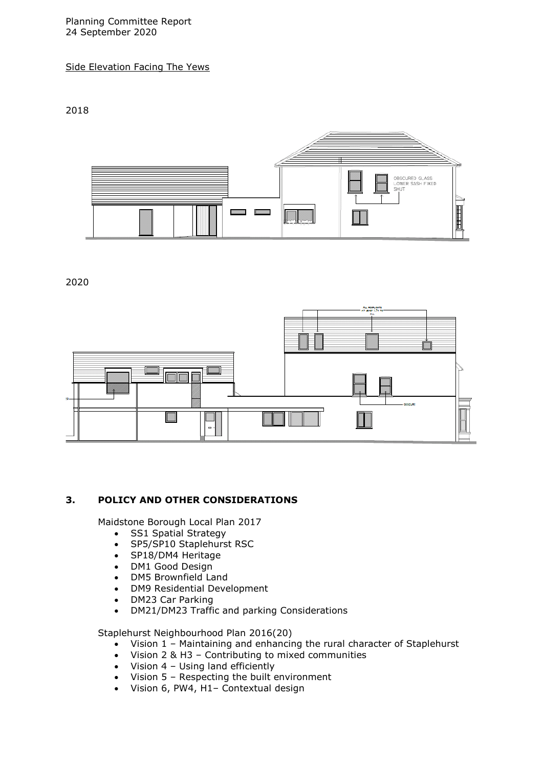Planning Committee Report 24 September 2020

Side Elevation Facing The Yews

2018



2020

![](_page_6_Figure_5.jpeg)

# **3. POLICY AND OTHER CONSIDERATIONS**

Maidstone Borough Local Plan 2017

- SS1 Spatial Strategy
- SP5/SP10 Staplehurst RSC
- SP18/DM4 Heritage
- DM1 Good Design
- DM5 Brownfield Land
- DM9 Residential Development
- DM23 Car Parking
- DM21/DM23 Traffic and parking Considerations

Staplehurst Neighbourhood Plan 2016(20)

- Vision 1 Maintaining and enhancing the rural character of Staplehurst
- Vision 2 & H3 Contributing to mixed communities
- $\bullet$  Vision 4 Using land efficiently
- Vision 5 Respecting the built environment
- Vision 6, PW4, H1– Contextual design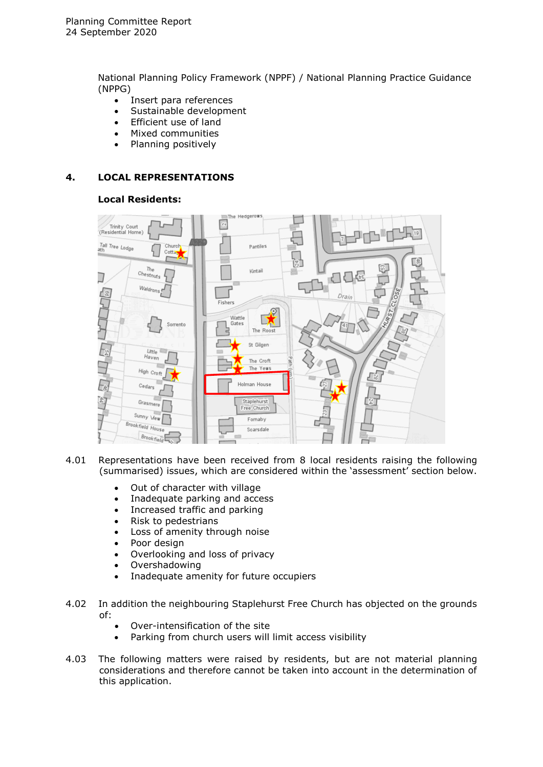National Planning Policy Framework (NPPF) / National Planning Practice Guidance (NPPG)

- Insert para references
- Sustainable development
- Efficient use of land
- Mixed communities
- Planning positively

## **4. LOCAL REPRESENTATIONS**

#### **Local Residents:**

![](_page_7_Figure_9.jpeg)

- 4.01 Representations have been received from 8 local residents raising the following (summarised) issues, which are considered within the 'assessment' section below.
	- Out of character with village
	- Inadequate parking and access
	- Increased traffic and parking
	- Risk to pedestrians
	- Loss of amenity through noise
	- Poor design
	- Overlooking and loss of privacy
	- Overshadowing
	- Inadequate amenity for future occupiers
- 4.02 In addition the neighbouring Staplehurst Free Church has objected on the grounds of:
	- Over-intensification of the site
	- Parking from church users will limit access visibility
- 4.03 The following matters were raised by residents, but are not material planning considerations and therefore cannot be taken into account in the determination of this application.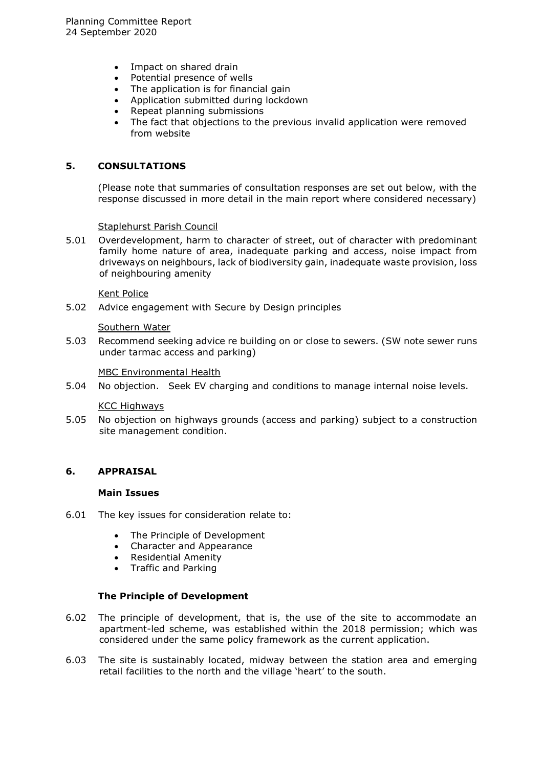- Impact on shared drain
- Potential presence of wells
- The application is for financial gain
- Application submitted during lockdown
- Repeat planning submissions
- The fact that objections to the previous invalid application were removed from website

# **5. CONSULTATIONS**

(Please note that summaries of consultation responses are set out below, with the response discussed in more detail in the main report where considered necessary)

Staplehurst Parish Council

5.01 Overdevelopment, harm to character of street, out of character with predominant family home nature of area, inadequate parking and access, noise impact from driveways on neighbours, lack of biodiversity gain, inadequate waste provision, loss of neighbouring amenity

#### Kent Police

5.02 Advice engagement with Secure by Design principles

#### Southern Water

5.03 Recommend seeking advice re building on or close to sewers. (SW note sewer runs under tarmac access and parking)

#### MBC Environmental Health

5.04 No objection. Seek EV charging and conditions to manage internal noise levels.

#### KCC Highways

5.05 No objection on highways grounds (access and parking) subject to a construction site management condition.

### **6. APPRAISAL**

#### **Main Issues**

- 6.01 The key issues for consideration relate to:
	- The Principle of Development
	- Character and Appearance
	- Residential Amenity
	- Traffic and Parking

### **The Principle of Development**

- 6.02 The principle of development, that is, the use of the site to accommodate an apartment-led scheme, was established within the 2018 permission; which was considered under the same policy framework as the current application.
- 6.03 The site is sustainably located, midway between the station area and emerging retail facilities to the north and the village 'heart' to the south.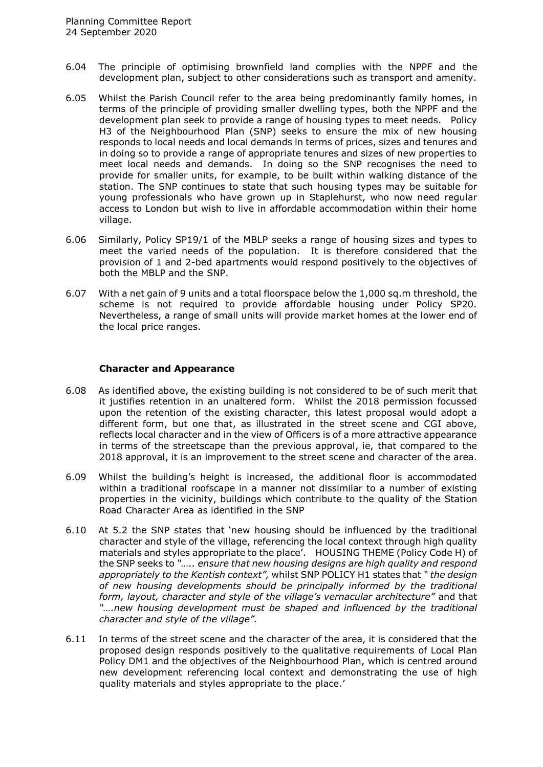- 6.04 The principle of optimising brownfield land complies with the NPPF and the development plan, subject to other considerations such as transport and amenity.
- 6.05 Whilst the Parish Council refer to the area being predominantly family homes, in terms of the principle of providing smaller dwelling types, both the NPPF and the development plan seek to provide a range of housing types to meet needs. Policy H3 of the Neighbourhood Plan (SNP) seeks to ensure the mix of new housing responds to local needs and local demands in terms of prices, sizes and tenures and in doing so to provide a range of appropriate tenures and sizes of new properties to meet local needs and demands. In doing so the SNP recognises the need to provide for smaller units, for example, to be built within walking distance of the station. The SNP continues to state that such housing types may be suitable for young professionals who have grown up in Staplehurst, who now need regular access to London but wish to live in affordable accommodation within their home village.
- 6.06 Similarly, Policy SP19/1 of the MBLP seeks a range of housing sizes and types to meet the varied needs of the population. It is therefore considered that the provision of 1 and 2-bed apartments would respond positively to the objectives of both the MBLP and the SNP.
- 6.07 With a net gain of 9 units and a total floorspace below the 1,000 sq.m threshold, the scheme is not required to provide affordable housing under Policy SP20. Nevertheless, a range of small units will provide market homes at the lower end of the local price ranges.

#### **Character and Appearance**

- 6.08 As identified above, the existing building is not considered to be of such merit that it justifies retention in an unaltered form. Whilst the 2018 permission focussed upon the retention of the existing character, this latest proposal would adopt a different form, but one that, as illustrated in the street scene and CGI above, reflects local character and in the view of Officers is of a more attractive appearance in terms of the streetscape than the previous approval, ie, that compared to the 2018 approval, it is an improvement to the street scene and character of the area.
- 6.09 Whilst the building's height is increased, the additional floor is accommodated within a traditional roofscape in a manner not dissimilar to a number of existing properties in the vicinity, buildings which contribute to the quality of the Station Road Character Area as identified in the SNP
- 6.10 At 5.2 the SNP states that 'new housing should be influenced by the traditional character and style of the village, referencing the local context through high quality materials and styles appropriate to the place'. HOUSING THEME (Policy Code H) of the SNP seeks to *"….. ensure that new housing designs are high quality and respond appropriately to the Kentish context",* whilst SNP POLICY H1 states that *" the design of new housing developments should be principally informed by the traditional form, layout, character and style of the village's vernacular architecture"* and that *"….new housing development must be shaped and influenced by the traditional character and style of the village".*
- 6.11 In terms of the street scene and the character of the area, it is considered that the proposed design responds positively to the qualitative requirements of Local Plan Policy DM1 and the objectives of the Neighbourhood Plan, which is centred around new development referencing local context and demonstrating the use of high quality materials and styles appropriate to the place.'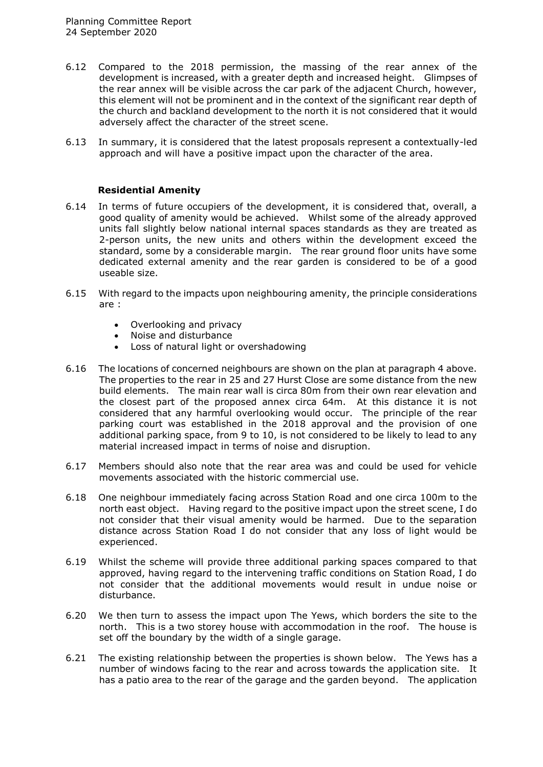- 6.12 Compared to the 2018 permission, the massing of the rear annex of the development is increased, with a greater depth and increased height. Glimpses of the rear annex will be visible across the car park of the adjacent Church, however, this element will not be prominent and in the context of the significant rear depth of the church and backland development to the north it is not considered that it would adversely affect the character of the street scene.
- 6.13 In summary, it is considered that the latest proposals represent a contextually-led approach and will have a positive impact upon the character of the area.

## **Residential Amenity**

- 6.14 In terms of future occupiers of the development, it is considered that, overall, a good quality of amenity would be achieved. Whilst some of the already approved units fall slightly below national internal spaces standards as they are treated as 2-person units, the new units and others within the development exceed the standard, some by a considerable margin. The rear ground floor units have some dedicated external amenity and the rear garden is considered to be of a good useable size.
- 6.15 With regard to the impacts upon neighbouring amenity, the principle considerations are :
	- Overlooking and privacy
	- Noise and disturbance
	- Loss of natural light or overshadowing
- 6.16 The locations of concerned neighbours are shown on the plan at paragraph 4 above. The properties to the rear in 25 and 27 Hurst Close are some distance from the new build elements. The main rear wall is circa 80m from their own rear elevation and the closest part of the proposed annex circa 64m. At this distance it is not considered that any harmful overlooking would occur. The principle of the rear parking court was established in the 2018 approval and the provision of one additional parking space, from 9 to 10, is not considered to be likely to lead to any material increased impact in terms of noise and disruption.
- 6.17 Members should also note that the rear area was and could be used for vehicle movements associated with the historic commercial use.
- 6.18 One neighbour immediately facing across Station Road and one circa 100m to the north east object. Having regard to the positive impact upon the street scene, I do not consider that their visual amenity would be harmed. Due to the separation distance across Station Road I do not consider that any loss of light would be experienced.
- 6.19 Whilst the scheme will provide three additional parking spaces compared to that approved, having regard to the intervening traffic conditions on Station Road, I do not consider that the additional movements would result in undue noise or disturbance.
- 6.20 We then turn to assess the impact upon The Yews, which borders the site to the north. This is a two storey house with accommodation in the roof. The house is set off the boundary by the width of a single garage.
- 6.21 The existing relationship between the properties is shown below. The Yews has a number of windows facing to the rear and across towards the application site. It has a patio area to the rear of the garage and the garden beyond. The application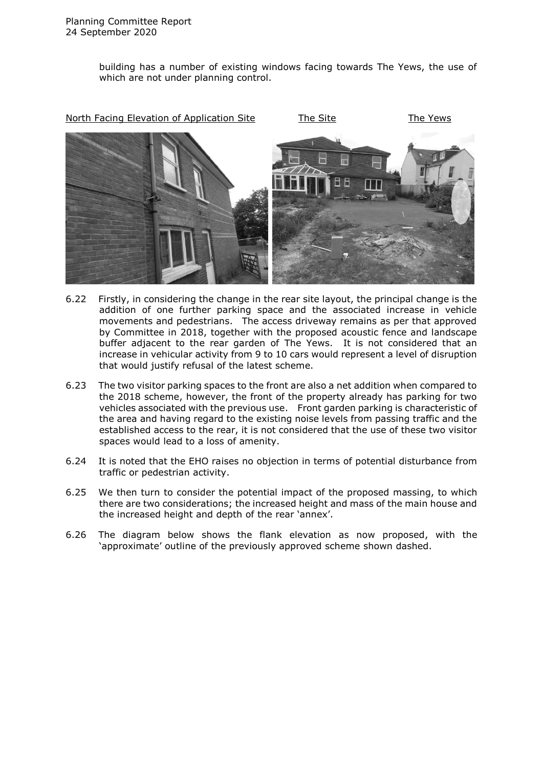building has a number of existing windows facing towards The Yews, the use of which are not under planning control.

![](_page_11_Picture_2.jpeg)

- 6.22 Firstly, in considering the change in the rear site layout, the principal change is the addition of one further parking space and the associated increase in vehicle movements and pedestrians. The access driveway remains as per that approved by Committee in 2018, together with the proposed acoustic fence and landscape buffer adjacent to the rear garden of The Yews. It is not considered that an increase in vehicular activity from 9 to 10 cars would represent a level of disruption that would justify refusal of the latest scheme.
- 6.23 The two visitor parking spaces to the front are also a net addition when compared to the 2018 scheme, however, the front of the property already has parking for two vehicles associated with the previous use. Front garden parking is characteristic of the area and having regard to the existing noise levels from passing traffic and the established access to the rear, it is not considered that the use of these two visitor spaces would lead to a loss of amenity.
- 6.24 It is noted that the EHO raises no objection in terms of potential disturbance from traffic or pedestrian activity.
- 6.25 We then turn to consider the potential impact of the proposed massing, to which there are two considerations; the increased height and mass of the main house and the increased height and depth of the rear 'annex'.
- 6.26 The diagram below shows the flank elevation as now proposed, with the 'approximate' outline of the previously approved scheme shown dashed.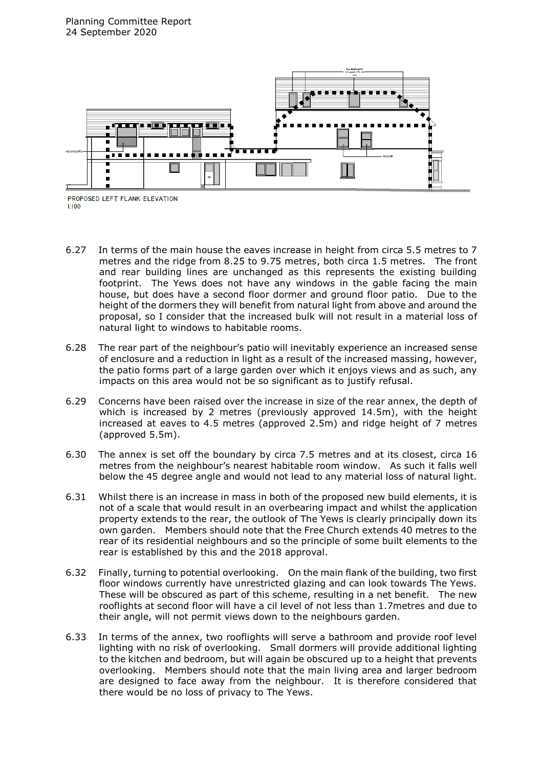![](_page_12_Figure_1.jpeg)

PROPOSED LEFT FLANK ELEVATION  $1-100$ 

- 6.27 In terms of the main house the eaves increase in height from circa 5.5 metres to 7 metres and the ridge from 8.25 to 9.75 metres, both circa 1.5 metres. The front and rear building lines are unchanged as this represents the existing building footprint. The Yews does not have any windows in the gable facing the main house, but does have a second floor dormer and ground floor patio. Due to the height of the dormers they will benefit from natural light from above and around the proposal, so I consider that the increased bulk will not result in a material loss of natural light to windows to habitable rooms.
- 6.28 The rear part of the neighbour's patio will inevitably experience an increased sense of enclosure and a reduction in light as a result of the increased massing, however, the patio forms part of a large garden over which it enjoys views and as such, any impacts on this area would not be so significant as to justify refusal.
- 6.29 Concerns have been raised over the increase in size of the rear annex, the depth of which is increased by 2 metres (previously approved 14.5m), with the height increased at eaves to 4.5 metres (approved 2.5m) and ridge height of 7 metres (approved 5.5m).
- 6.30 The annex is set off the boundary by circa 7.5 metres and at its closest, circa 16 metres from the neighbour's nearest habitable room window. As such it falls well below the 45 degree angle and would not lead to any material loss of natural light.
- 6.31 Whilst there is an increase in mass in both of the proposed new build elements, it is not of a scale that would result in an overbearing impact and whilst the application property extends to the rear, the outlook of The Yews is clearly principally down its own garden. Members should note that the Free Church extends 40 metres to the rear of its residential neighbours and so the principle of some built elements to the rear is established by this and the 2018 approval.
- 6.32 Finally, turning to potential overlooking. On the main flank of the building, two first floor windows currently have unrestricted glazing and can look towards The Yews. These will be obscured as part of this scheme, resulting in a net benefit. The new rooflights at second floor will have a cil level of not less than 1.7metres and due to their angle, will not permit views down to the neighbours garden.
- 6.33 In terms of the annex, two rooflights will serve a bathroom and provide roof level lighting with no risk of overlooking. Small dormers will provide additional lighting to the kitchen and bedroom, but will again be obscured up to a height that prevents overlooking. Members should note that the main living area and larger bedroom are designed to face away from the neighbour. It is therefore considered that there would be no loss of privacy to The Yews.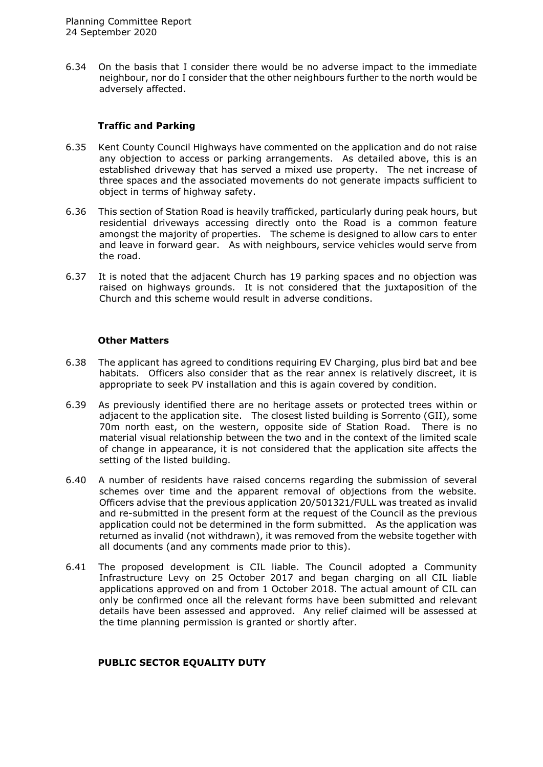6.34 On the basis that I consider there would be no adverse impact to the immediate neighbour, nor do I consider that the other neighbours further to the north would be adversely affected.

### **Traffic and Parking**

- 6.35 Kent County Council Highways have commented on the application and do not raise any objection to access or parking arrangements. As detailed above, this is an established driveway that has served a mixed use property. The net increase of three spaces and the associated movements do not generate impacts sufficient to object in terms of highway safety.
- 6.36 This section of Station Road is heavily trafficked, particularly during peak hours, but residential driveways accessing directly onto the Road is a common feature amongst the majority of properties. The scheme is designed to allow cars to enter and leave in forward gear. As with neighbours, service vehicles would serve from the road.
- 6.37 It is noted that the adjacent Church has 19 parking spaces and no objection was raised on highways grounds. It is not considered that the juxtaposition of the Church and this scheme would result in adverse conditions.

### **Other Matters**

- 6.38 The applicant has agreed to conditions requiring EV Charging, plus bird bat and bee habitats. Officers also consider that as the rear annex is relatively discreet, it is appropriate to seek PV installation and this is again covered by condition.
- 6.39 As previously identified there are no heritage assets or protected trees within or adjacent to the application site. The closest listed building is Sorrento (GII), some 70m north east, on the western, opposite side of Station Road. There is no material visual relationship between the two and in the context of the limited scale of change in appearance, it is not considered that the application site affects the setting of the listed building.
- 6.40 A number of residents have raised concerns regarding the submission of several schemes over time and the apparent removal of objections from the website. Officers advise that the previous application 20/501321/FULL was treated as invalid and re-submitted in the present form at the request of the Council as the previous application could not be determined in the form submitted. As the application was returned as invalid (not withdrawn), it was removed from the website together with all documents (and any comments made prior to this).
- 6.41 The proposed development is CIL liable. The Council adopted a Community Infrastructure Levy on 25 October 2017 and began charging on all CIL liable applications approved on and from 1 October 2018. The actual amount of CIL can only be confirmed once all the relevant forms have been submitted and relevant details have been assessed and approved. Any relief claimed will be assessed at the time planning permission is granted or shortly after.

# **PUBLIC SECTOR EQUALITY DUTY**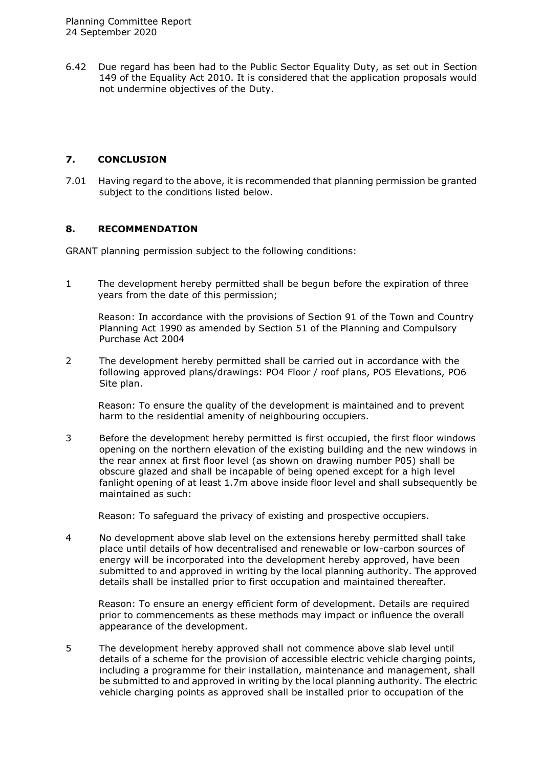6.42 Due regard has been had to the Public Sector Equality Duty, as set out in Section 149 of the Equality Act 2010. It is considered that the application proposals would not undermine objectives of the Duty.

## **7. CONCLUSION**

7.01 Having regard to the above, it is recommended that planning permission be granted subject to the conditions listed below.

## **8. RECOMMENDATION**

GRANT planning permission subject to the following conditions:

1 The development hereby permitted shall be begun before the expiration of three years from the date of this permission;

Reason: In accordance with the provisions of Section 91 of the Town and Country Planning Act 1990 as amended by Section 51 of the Planning and Compulsory Purchase Act 2004

2 The development hereby permitted shall be carried out in accordance with the following approved plans/drawings: PO4 Floor / roof plans, PO5 Elevations, PO6 Site plan.

Reason: To ensure the quality of the development is maintained and to prevent harm to the residential amenity of neighbouring occupiers.

3 Before the development hereby permitted is first occupied, the first floor windows opening on the northern elevation of the existing building and the new windows in the rear annex at first floor level (as shown on drawing number P05) shall be obscure glazed and shall be incapable of being opened except for a high level fanlight opening of at least 1.7m above inside floor level and shall subsequently be maintained as such:

Reason: To safeguard the privacy of existing and prospective occupiers.

4 No development above slab level on the extensions hereby permitted shall take place until details of how decentralised and renewable or low-carbon sources of energy will be incorporated into the development hereby approved, have been submitted to and approved in writing by the local planning authority. The approved details shall be installed prior to first occupation and maintained thereafter.

Reason: To ensure an energy efficient form of development. Details are required prior to commencements as these methods may impact or influence the overall appearance of the development.

5 The development hereby approved shall not commence above slab level until details of a scheme for the provision of accessible electric vehicle charging points, including a programme for their installation, maintenance and management, shall be submitted to and approved in writing by the local planning authority. The electric vehicle charging points as approved shall be installed prior to occupation of the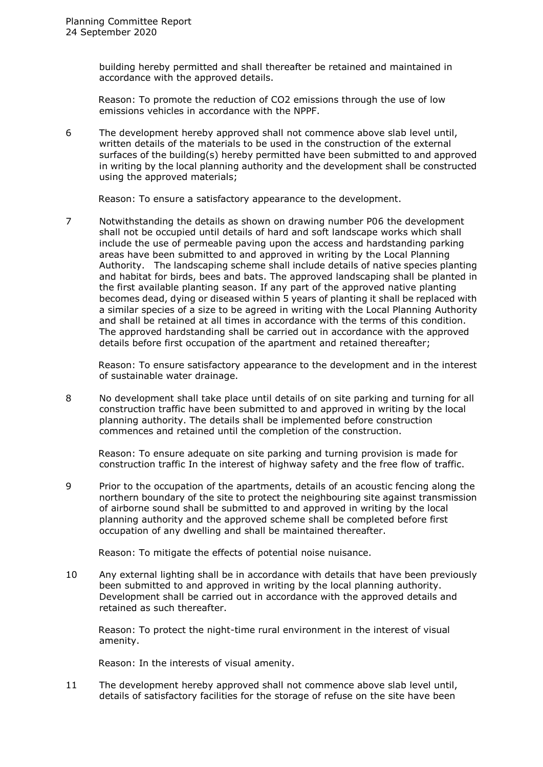building hereby permitted and shall thereafter be retained and maintained in accordance with the approved details.

Reason: To promote the reduction of CO2 emissions through the use of low emissions vehicles in accordance with the NPPF.

6 The development hereby approved shall not commence above slab level until, written details of the materials to be used in the construction of the external surfaces of the building(s) hereby permitted have been submitted to and approved in writing by the local planning authority and the development shall be constructed using the approved materials;

Reason: To ensure a satisfactory appearance to the development.

7 Notwithstanding the details as shown on drawing number P06 the development shall not be occupied until details of hard and soft landscape works which shall include the use of permeable paving upon the access and hardstanding parking areas have been submitted to and approved in writing by the Local Planning Authority. The landscaping scheme shall include details of native species planting and habitat for birds, bees and bats. The approved landscaping shall be planted in the first available planting season. If any part of the approved native planting becomes dead, dying or diseased within 5 years of planting it shall be replaced with a similar species of a size to be agreed in writing with the Local Planning Authority and shall be retained at all times in accordance with the terms of this condition. The approved hardstanding shall be carried out in accordance with the approved details before first occupation of the apartment and retained thereafter;

Reason: To ensure satisfactory appearance to the development and in the interest of sustainable water drainage.

8 No development shall take place until details of on site parking and turning for all construction traffic have been submitted to and approved in writing by the local planning authority. The details shall be implemented before construction commences and retained until the completion of the construction.

Reason: To ensure adequate on site parking and turning provision is made for construction traffic In the interest of highway safety and the free flow of traffic.

9 Prior to the occupation of the apartments, details of an acoustic fencing along the northern boundary of the site to protect the neighbouring site against transmission of airborne sound shall be submitted to and approved in writing by the local planning authority and the approved scheme shall be completed before first occupation of any dwelling and shall be maintained thereafter.

Reason: To mitigate the effects of potential noise nuisance.

10 Any external lighting shall be in accordance with details that have been previously been submitted to and approved in writing by the local planning authority. Development shall be carried out in accordance with the approved details and retained as such thereafter.

Reason: To protect the night-time rural environment in the interest of visual amenity.

Reason: In the interests of visual amenity.

11 The development hereby approved shall not commence above slab level until, details of satisfactory facilities for the storage of refuse on the site have been